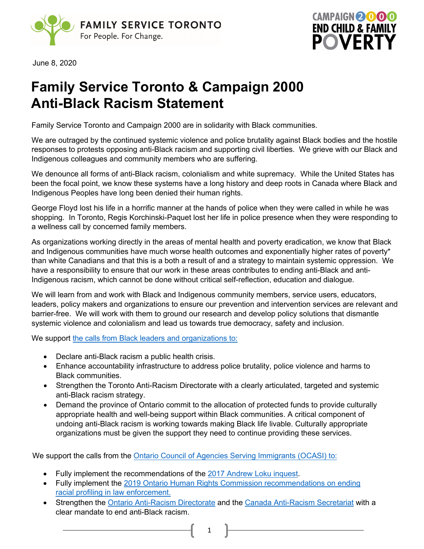



June 8, 2020

## **Family Service Toronto & Campaign 2000 Anti-Black Racism Statement**

Family Service Toronto and Campaign 2000 are in solidarity with Black communities.

We are outraged by the continued systemic violence and police brutality against Black bodies and the hostile responses to protests opposing anti-Black racism and supporting civil liberties. We grieve with our Black and Indigenous colleagues and community members who are suffering.

We denounce all forms of anti-Black racism, colonialism and white supremacy. While the United States has been the focal point, we know these systems have a long history and deep roots in Canada where Black and Indigenous Peoples have long been denied their human rights.

George Floyd lost his life in a horrific manner at the hands of police when they were called in while he was shopping. In Toronto, Regis Korchinski-Paquet lost her life in police presence when they were responding to a wellness call by concerned family members.

As organizations working directly in the areas of mental health and poverty eradication, we know that Black and Indigenous communities have much worse health outcomes and exponentially higher rates of poverty\* than white Canadians and that this is a both a result of and a strategy to maintain systemic oppression. We have a responsibility to ensure that our work in these areas contributes to ending anti-Black and anti-Indigenous racism, which cannot be done without critical self-reflection, education and dialogue.

We will learn from and work with Black and Indigenous community members, service users, educators, leaders, policy makers and organizations to ensure our prevention and intervention services are relevant and barrier-free. We will work with them to ground our research and develop policy solutions that dismantle systemic violence and colonialism and lead us towards true democracy, safety and inclusion.

We support the calls from Black [leaders and organizations](https://www.allianceon.org/news/Statement-Black-health-leaders-Anti-Black-Racism-Public-Health-Crisis) to:

- Declare anti-Black racism a public health crisis.
- Enhance accountability infrastructure to address police brutality, police violence and harms to Black communities.
- Strengthen the Toronto Anti-Racism Directorate with a clearly articulated, targeted and systemic anti-Black racism strategy.
- Demand the province of Ontario commit to the allocation of protected funds to provide culturally appropriate health and well-being support within Black communities. A critical component of undoing anti-Black racism is working towards making Black life livable. Culturally appropriate organizations must be given the support they need to continue providing these services.

We support the calls from the [Ontario Council of](https://ocasi.org/end-anti-black-racism) Agencies [Serving Immigrants \(OCASI\)](http://www.ohrc.on.ca/en/policy-eliminating-racial-profiling-law-enforcement#overlay-context=en) to:

- [Fully implement the recommendations o](http://www.ohrc.on.ca/en/policy-eliminating-racial-profiling-law-enforcement#overlay-context=en)f the [2017 Andrew Loku inquest.](https://www.mcscs.jus.gov.on.ca/english/Deathinvestigations/Inquests/Verdictsandrecommendations/OCCInquestLoku2017.html)
- Fully implement the 2019 Ontario Human Rights Commission recommendations on ending racial profiling in law enforcement.
- Strengthen the [Ontario Anti-Racism Directorate](https://www.ontario.ca/page/anti-racism-directorate) and the [Canada Anti-Racism Secretariat](https://www.canada.ca/en/canadian-heritage/campaigns/anti-racism-engagement/anti-racism-strategy.html) with a clear mandate to end anti-Black racism.
	- 1